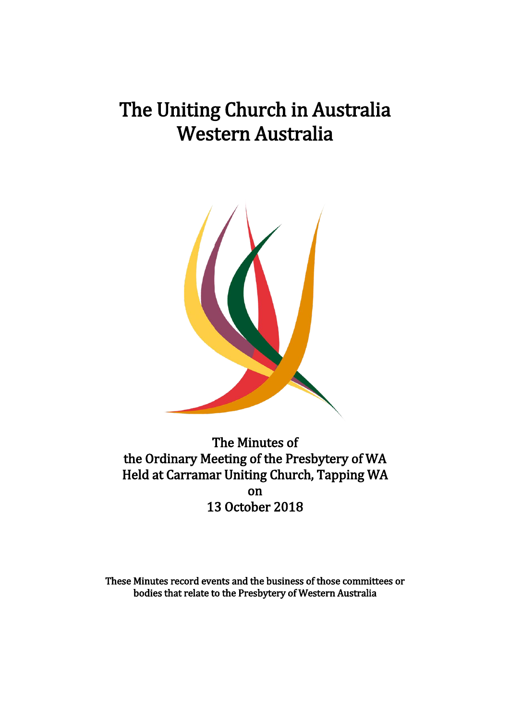# The Uniting Church in Australia Western Australia



The Minutes of the Ordinary Meeting of the Presbytery of WA Held at Carramar Uniting Church, Tapping WA on 13 October 2018

These Minutes record events and the business of those committees or bodies that relate to the Presbytery of Western Australia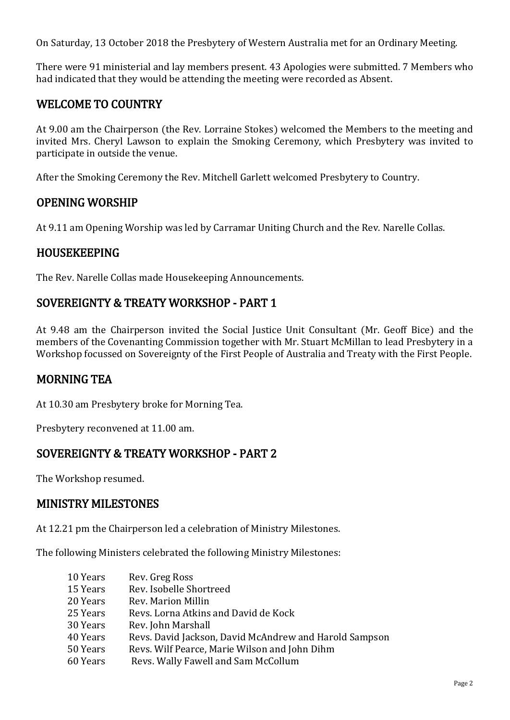On Saturday, 13 October 2018 the Presbytery of Western Australia met for an Ordinary Meeting.

There were 91 ministerial and lay members present. 43 Apologies were submitted. 7 Members who had indicated that they would be attending the meeting were recorded as Absent.

# WELCOME TO COUNTRY

At 9.00 am the Chairperson (the Rev. Lorraine Stokes) welcomed the Members to the meeting and invited Mrs. Cheryl Lawson to explain the Smoking Ceremony, which Presbytery was invited to participate in outside the venue.

After the Smoking Ceremony the Rev. Mitchell Garlett welcomed Presbytery to Country.

# OPENING WORSHIP

At 9.11 am Opening Worship was led by Carramar Uniting Church and the Rev. Narelle Collas.

## HOUSEKEEPING

The Rev. Narelle Collas made Housekeeping Announcements.

# SOVEREIGNTY & TREATY WORKSHOP - PART 1

At 9.48 am the Chairperson invited the Social Justice Unit Consultant (Mr. Geoff Bice) and the members of the Covenanting Commission together with Mr. Stuart McMillan to lead Presbytery in a Workshop focussed on Sovereignty of the First People of Australia and Treaty with the First People.

## MORNING TEA

At 10.30 am Presbytery broke for Morning Tea.

Presbytery reconvened at 11.00 am.

## SOVEREIGNTY & TREATY WORKSHOP - PART 2

The Workshop resumed.

## MINISTRY MILESTONES

At 12.21 pm the Chairperson led a celebration of Ministry Milestones.

The following Ministers celebrated the following Ministry Milestones:

| 10 Years | Rev. Greg Ross                                         |
|----------|--------------------------------------------------------|
| 15 Years | Rev. Isobelle Shortreed                                |
| 20 Years | Rev. Marion Millin                                     |
| 25 Years | Revs. Lorna Atkins and David de Kock                   |
| 30 Years | Rev. John Marshall                                     |
| 40 Years | Revs. David Jackson, David McAndrew and Harold Sampson |
| 50 Years | Revs. Wilf Pearce, Marie Wilson and John Dihm          |
| 60 Years | Revs. Wally Fawell and Sam McCollum                    |
|          |                                                        |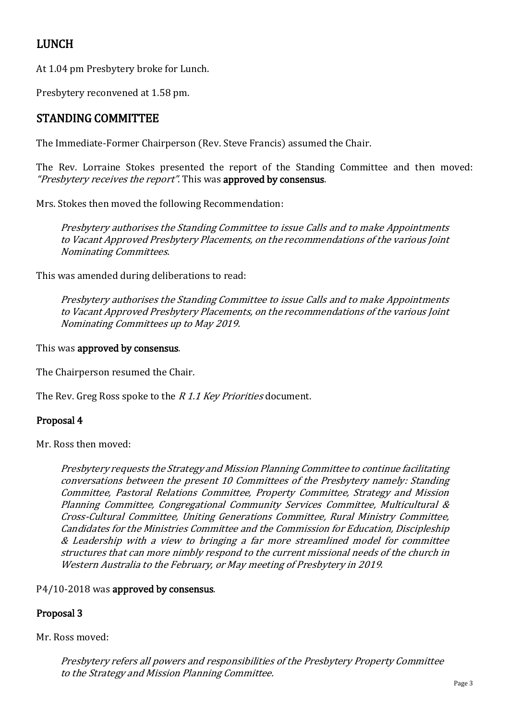# LUNCH

At 1.04 pm Presbytery broke for Lunch.

Presbytery reconvened at 1.58 pm.

# STANDING COMMITTEE

The Immediate-Former Chairperson (Rev. Steve Francis) assumed the Chair.

The Rev. Lorraine Stokes presented the report of the Standing Committee and then moved: "Presbytery receives the report". This was approved by consensus.

Mrs. Stokes then moved the following Recommendation:

Presbytery authorises the Standing Committee to issue Calls and to make Appointments to Vacant Approved Presbytery Placements, on the recommendations of the various Joint Nominating Committees.

This was amended during deliberations to read:

Presbytery authorises the Standing Committee to issue Calls and to make Appointments to Vacant Approved Presbytery Placements, on the recommendations of the various Joint Nominating Committees up to May 2019.

This was approved by consensus.

The Chairperson resumed the Chair.

The Rev. Greg Ross spoke to the R 1.1 Key Priorities document.

#### Proposal 4

Mr. Ross then moved:

Presbytery requests the Strategy and Mission Planning Committee to continue facilitating conversations between the present 10 Committees of the Presbytery namely: Standing Committee, Pastoral Relations Committee, Property Committee, Strategy and Mission Planning Committee, Congregational Community Services Committee, Multicultural & Cross-Cultural Committee, Uniting Generations Committee, Rural Ministry Committee, Candidates for the Ministries Committee and the Commission for Education, Discipleship & Leadership with a view to bringing a far more streamlined model for committee structures that can more nimbly respond to the current missional needs of the church in Western Australia to the February, or May meeting of Presbytery in 2019.

#### P4/10-2018 was approved by consensus.

#### Proposal 3

Mr. Ross moved:

Presbytery refers all powers and responsibilities of the Presbytery Property Committee to the Strategy and Mission Planning Committee.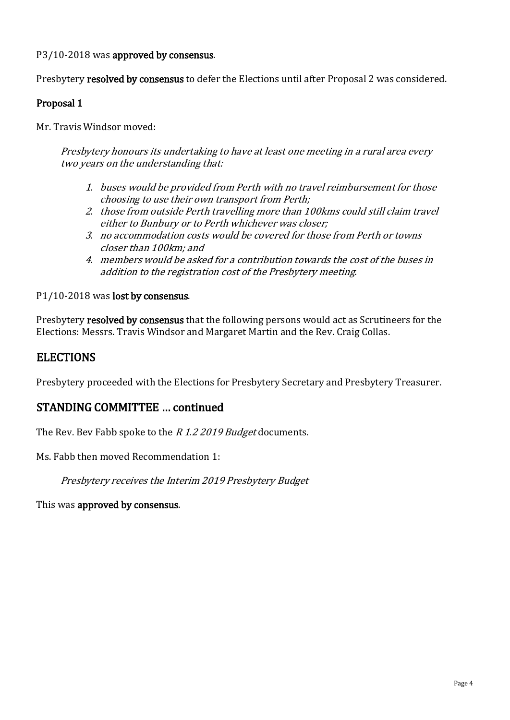P3/10-2018 was approved by consensus.

Presbytery resolved by consensus to defer the Elections until after Proposal 2 was considered.

#### Proposal 1

Mr. Travis Windsor moved:

Presbytery honours its undertaking to have at least one meeting in a rural area every two years on the understanding that:

- 1. buses would be provided from Perth with no travel reimbursement for those choosing to use their own transport from Perth;
- 2. those from outside Perth travelling more than 100kms could still claim travel either to Bunbury or to Perth whichever was closer;
- 3. no accommodation costs would be covered for those from Perth or towns closer than 100km; and
- 4. members would be asked for a contribution towards the cost of the buses in addition to the registration cost of the Presbytery meeting.

#### P1/10-2018 was lost by consensus.

Presbytery resolved by consensus that the following persons would act as Scrutineers for the Elections: Messrs. Travis Windsor and Margaret Martin and the Rev. Craig Collas.

## **ELECTIONS**

Presbytery proceeded with the Elections for Presbytery Secretary and Presbytery Treasurer.

#### STANDING COMMITTEE … continued

The Rev. Bev Fabb spoke to the *R 1.2 2019 Budget* documents.

Ms. Fabb then moved Recommendation 1:

Presbytery receives the Interim 2019 Presbytery Budget

This was approved by consensus.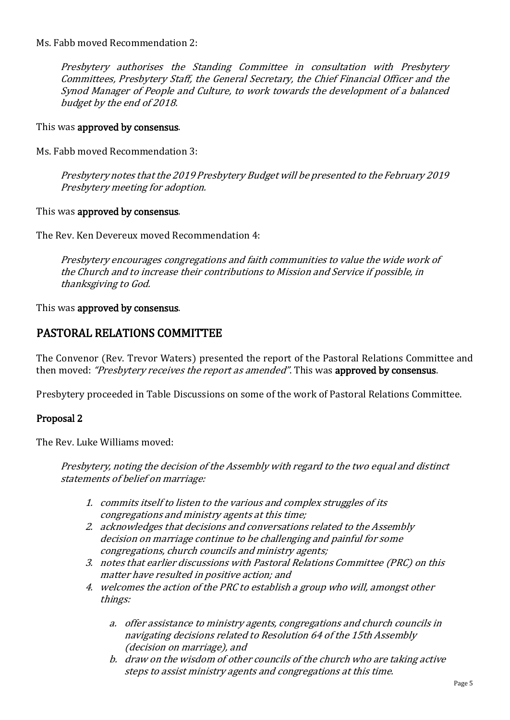Ms. Fabb moved Recommendation 2:

Presbytery authorises the Standing Committee in consultation with Presbytery Committees, Presbytery Staff, the General Secretary, the Chief Financial Officer and the Synod Manager of People and Culture, to work towards the development of a balanced budget by the end of 2018.

This was approved by consensus.

Ms. Fabb moved Recommendation 3:

Presbytery notes that the 2019 Presbytery Budget will be presented to the February 2019 Presbytery meeting for adoption.

This was approved by consensus.

The Rev. Ken Devereux moved Recommendation 4:

Presbytery encourages congregations and faith communities to value the wide work of the Church and to increase their contributions to Mission and Service if possible, in thanksgiving to God.

This was approved by consensus.

## PASTORAL RELATIONS COMMITTEE

The Convenor (Rev. Trevor Waters) presented the report of the Pastoral Relations Committee and then moved: "Presbytery receives the report as amended". This was approved by consensus.

Presbytery proceeded in Table Discussions on some of the work of Pastoral Relations Committee.

#### Proposal 2

The Rev. Luke Williams moved:

Presbytery, noting the decision of the Assembly with regard to the two equal and distinct statements of belief on marriage:

- 1. commits itself to listen to the various and complex struggles of its congregations and ministry agents at this time;
- 2. acknowledges that decisions and conversations related to the Assembly decision on marriage continue to be challenging and painful for some congregations, church councils and ministry agents;
- 3. notes that earlier discussions with Pastoral Relations Committee (PRC) on this matter have resulted in positive action; and
- 4. welcomes the action of the PRC to establish a group who will, amongst other things:
	- a. offer assistance to ministry agents, congregations and church councils in navigating decisions related to Resolution 64 of the 15th Assembly (decision on marriage), and
	- b. draw on the wisdom of other councils of the church who are taking active steps to assist ministry agents and congregations at this time.